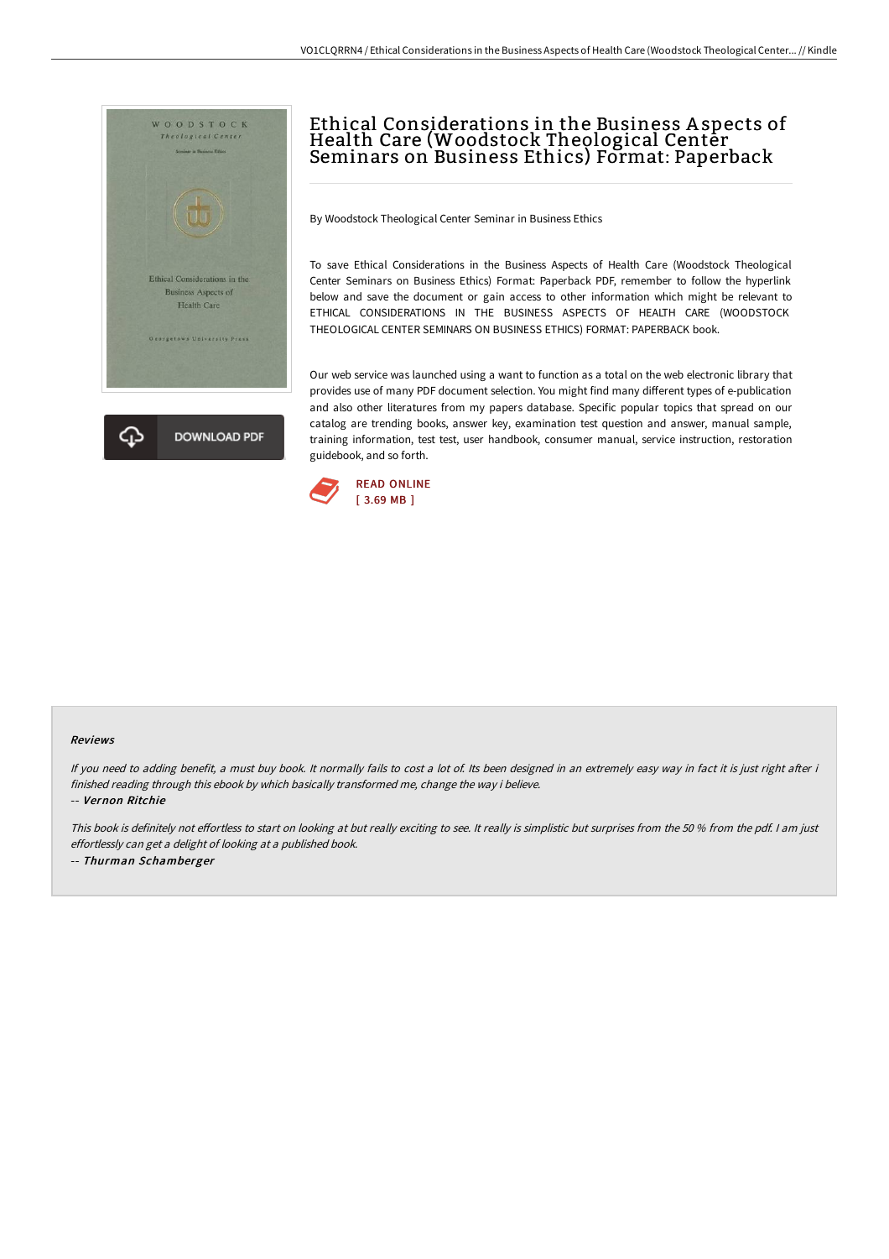

# Ethical Considerations in the Business A spects of Health Care (Woodstock Theological Center Seminars on Business Ethics) Format: Paperback

By Woodstock Theological Center Seminar in Business Ethics

To save Ethical Considerations in the Business Aspects of Health Care (Woodstock Theological Center Seminars on Business Ethics) Format: Paperback PDF, remember to follow the hyperlink below and save the document or gain access to other information which might be relevant to ETHICAL CONSIDERATIONS IN THE BUSINESS ASPECTS OF HEALTH CARE (WOODSTOCK THEOLOGICAL CENTER SEMINARS ON BUSINESS ETHICS) FORMAT: PAPERBACK book.

Our web service was launched using a want to function as a total on the web electronic library that provides use of many PDF document selection. You might find many different types of e-publication and also other literatures from my papers database. Specific popular topics that spread on our catalog are trending books, answer key, examination test question and answer, manual sample, training information, test test, user handbook, consumer manual, service instruction, restoration guidebook, and so forth.



#### Reviews

If you need to adding benefit, a must buy book. It normally fails to cost a lot of. Its been designed in an extremely easy way in fact it is just right after i finished reading through this ebook by which basically transformed me, change the way i believe.

-- Vernon Ritchie

This book is definitely not effortless to start on looking at but really exciting to see. It really is simplistic but surprises from the 50 % from the pdf. I am just effortlessly can get <sup>a</sup> delight of looking at <sup>a</sup> published book. -- Thurman Schamberger